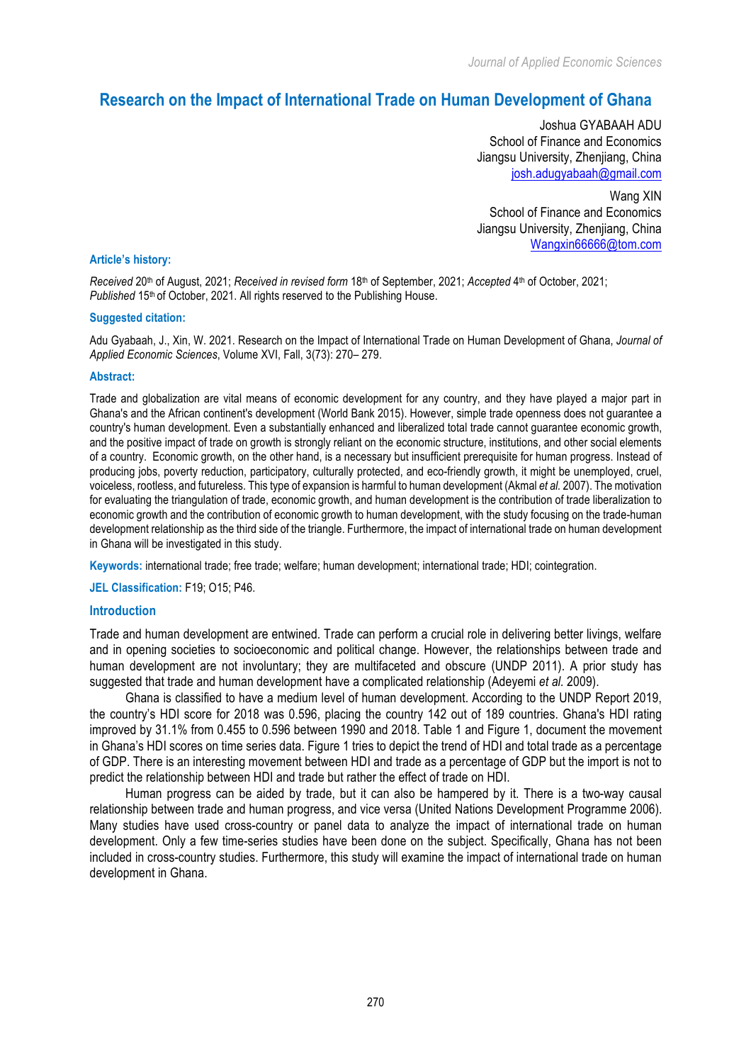# **Research on the Impact of International Trade on Human Development of Ghana**

Joshua GYABAAH ADU School of Finance and Economics Jiangsu University, Zhenjiang, China josh.adugyabaah@gmail.com

Wang XIN School of Finance and Economics Jiangsu University, Zhenjiang, China Wangxin66666@tom.com

### **Article's history:**

*Received* 20th of August, 2021; *Received in revised form* 18th of September, 2021; *Accepted* 4th of October, 2021; Published 15<sup>th</sup> of October, 2021. All rights reserved to the Publishing House.

#### **Suggested citation:**

Adu Gyabaah, J., Xin, W. 2021. Research on the Impact of International Trade on Human Development of Ghana, *Journal of Applied Economic Sciences*, Volume XVI, Fall, 3(73): 270– 279.

#### **Abstract:**

Trade and globalization are vital means of economic development for any country, and they have played a major part in Ghana's and the African continent's development (World Bank 2015). However, simple trade openness does not guarantee a country's human development. Even a substantially enhanced and liberalized total trade cannot guarantee economic growth, and the positive impact of trade on growth is strongly reliant on the economic structure, institutions, and other social elements of a country. Economic growth, on the other hand, is a necessary but insufficient prerequisite for human progress. Instead of producing jobs, poverty reduction, participatory, culturally protected, and eco-friendly growth, it might be unemployed, cruel, voiceless, rootless, and futureless. This type of expansion is harmful to human development (Akmal *et al.* 2007). The motivation for evaluating the triangulation of trade, economic growth, and human development is the contribution of trade liberalization to economic growth and the contribution of economic growth to human development, with the study focusing on the trade-human development relationship as the third side of the triangle. Furthermore, the impact of international trade on human development in Ghana will be investigated in this study.

**Keywords:** international trade; free trade; welfare; human development; international trade; HDI; cointegration.

**JEL Classification:** F19; O15; P46.

### **Introduction**

Trade and human development are entwined. Trade can perform a crucial role in delivering better livings, welfare and in opening societies to socioeconomic and political change. However, the relationships between trade and human development are not involuntary; they are multifaceted and obscure (UNDP 2011). A prior study has suggested that trade and human development have a complicated relationship (Adeyemi *et al.* 2009).

Ghana is classified to have a medium level of human development. According to the UNDP Report 2019, the country's HDI score for 2018 was 0.596, placing the country 142 out of 189 countries. Ghana's HDI rating improved by 31.1% from 0.455 to 0.596 between 1990 and 2018. Table 1 and Figure 1, document the movement in Ghana's HDI scores on time series data. Figure 1 tries to depict the trend of HDI and total trade as a percentage of GDP. There is an interesting movement between HDI and trade as a percentage of GDP but the import is not to predict the relationship between HDI and trade but rather the effect of trade on HDI.

Human progress can be aided by trade, but it can also be hampered by it. There is a two-way causal relationship between trade and human progress, and vice versa (United Nations Development Programme 2006). Many studies have used cross-country or panel data to analyze the impact of international trade on human development. Only a few time-series studies have been done on the subject. Specifically, Ghana has not been included in cross-country studies. Furthermore, this study will examine the impact of international trade on human development in Ghana.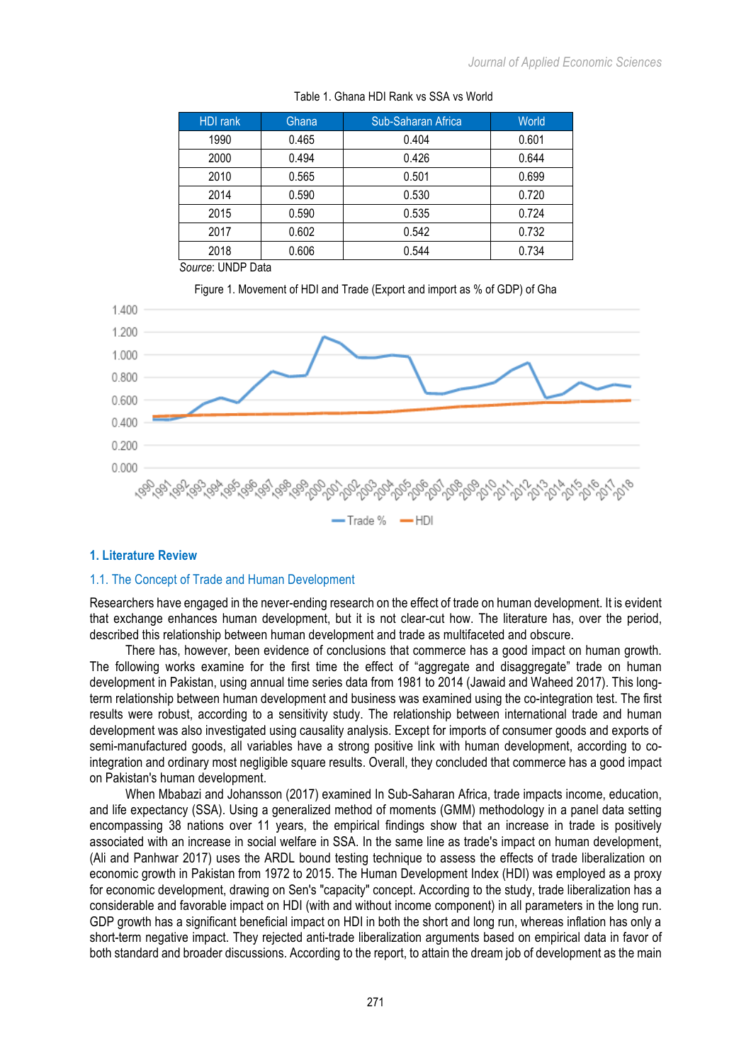| <b>HDI</b> rank | Ghana | Sub-Saharan Africa | <b>World</b> |
|-----------------|-------|--------------------|--------------|
| 1990            | 0.465 | 0.404              | 0.601        |
| 2000            | 0.494 | 0.426              | 0.644        |
| 2010            | 0.565 | 0.501              | 0.699        |
| 2014            | 0.590 | 0.530              | 0.720        |
| 2015            | 0.590 | 0.535              | 0.724        |
| 2017            | 0.602 | 0.542              | 0.732        |
| 2018            | 0.606 | 0.544              | 0.734        |

Table 1. Ghana HDI Rank vs SSA vs World



## **1. Literature Review**

## 1.1. The Concept of Trade and Human Development

Researchers have engaged in the never-ending research on the effect of trade on human development. It is evident that exchange enhances human development, but it is not clear-cut how. The literature has, over the period, described this relationship between human development and trade as multifaceted and obscure.

There has, however, been evidence of conclusions that commerce has a good impact on human growth. The following works examine for the first time the effect of "aggregate and disaggregate" trade on human development in Pakistan, using annual time series data from 1981 to 2014 (Jawaid and Waheed 2017). This longterm relationship between human development and business was examined using the co-integration test. The first results were robust, according to a sensitivity study. The relationship between international trade and human development was also investigated using causality analysis. Except for imports of consumer goods and exports of semi-manufactured goods, all variables have a strong positive link with human development, according to cointegration and ordinary most negligible square results. Overall, they concluded that commerce has a good impact on Pakistan's human development.

When Mbabazi and Johansson (2017) examined In Sub-Saharan Africa, trade impacts income, education, and life expectancy (SSA). Using a generalized method of moments (GMM) methodology in a panel data setting encompassing 38 nations over 11 years, the empirical findings show that an increase in trade is positively associated with an increase in social welfare in SSA. In the same line as trade's impact on human development, (Ali and Panhwar 2017) uses the ARDL bound testing technique to assess the effects of trade liberalization on economic growth in Pakistan from 1972 to 2015. The Human Development Index (HDI) was employed as a proxy for economic development, drawing on Sen's "capacity" concept. According to the study, trade liberalization has a considerable and favorable impact on HDI (with and without income component) in all parameters in the long run. GDP growth has a significant beneficial impact on HDI in both the short and long run, whereas inflation has only a short-term negative impact. They rejected anti-trade liberalization arguments based on empirical data in favor of both standard and broader discussions. According to the report, to attain the dream job of development as the main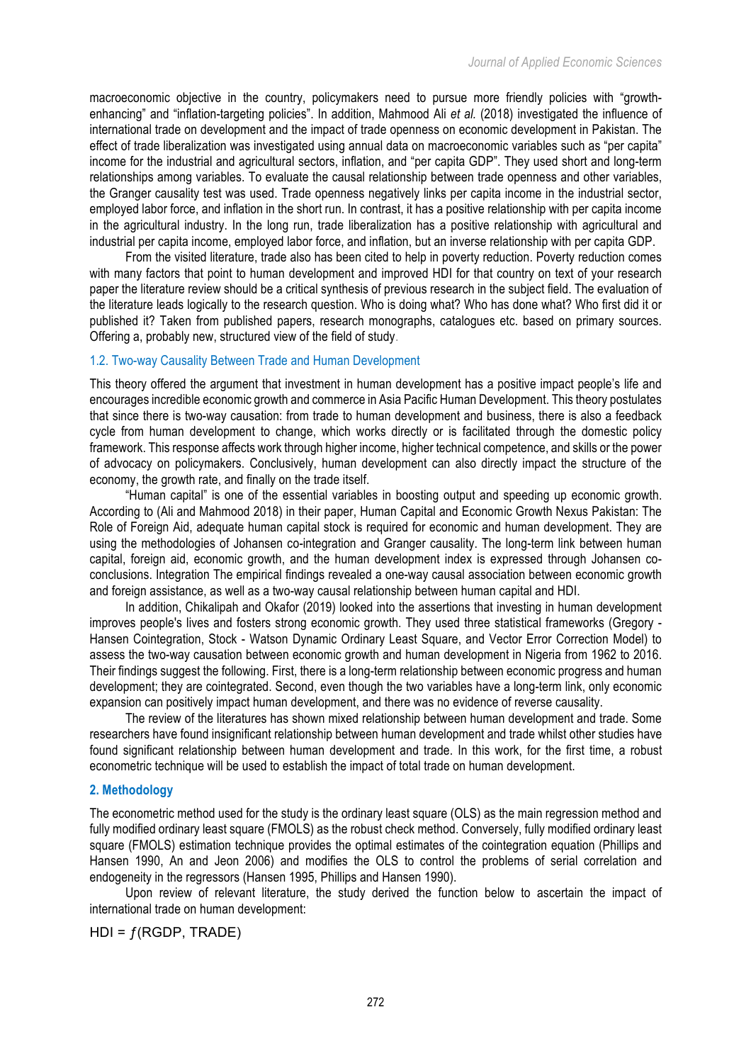macroeconomic objective in the country, policymakers need to pursue more friendly policies with "growthenhancing" and "inflation-targeting policies". In addition, Mahmood Ali *et al.* (2018) investigated the influence of international trade on development and the impact of trade openness on economic development in Pakistan. The effect of trade liberalization was investigated using annual data on macroeconomic variables such as "per capita" income for the industrial and agricultural sectors, inflation, and "per capita GDP". They used short and long-term relationships among variables. To evaluate the causal relationship between trade openness and other variables, the Granger causality test was used. Trade openness negatively links per capita income in the industrial sector, employed labor force, and inflation in the short run. In contrast, it has a positive relationship with per capita income in the agricultural industry. In the long run, trade liberalization has a positive relationship with agricultural and industrial per capita income, employed labor force, and inflation, but an inverse relationship with per capita GDP.

From the visited literature, trade also has been cited to help in poverty reduction. Poverty reduction comes with many factors that point to human development and improved HDI for that country on text of your research paper the literature review should be a critical synthesis of previous research in the subject field. The evaluation of the literature leads logically to the research question. Who is doing what? Who has done what? Who first did it or published it? Taken from published papers, research monographs, catalogues etc. based on primary sources. Offering a, probably new, structured view of the field of study.

## 1.2. Two-way Causality Between Trade and Human Development

This theory offered the argument that investment in human development has a positive impact people's life and encourages incredible economic growth and commerce in Asia Pacific Human Development. This theory postulates that since there is two-way causation: from trade to human development and business, there is also a feedback cycle from human development to change, which works directly or is facilitated through the domestic policy framework. This response affects work through higher income, higher technical competence, and skills or the power of advocacy on policymakers. Conclusively, human development can also directly impact the structure of the economy, the growth rate, and finally on the trade itself.

"Human capital" is one of the essential variables in boosting output and speeding up economic growth. According to (Ali and Mahmood 2018) in their paper, Human Capital and Economic Growth Nexus Pakistan: The Role of Foreign Aid, adequate human capital stock is required for economic and human development. They are using the methodologies of Johansen co-integration and Granger causality. The long-term link between human capital, foreign aid, economic growth, and the human development index is expressed through Johansen coconclusions. Integration The empirical findings revealed a one-way causal association between economic growth and foreign assistance, as well as a two-way causal relationship between human capital and HDI.

In addition, Chikalipah and Okafor (2019) looked into the assertions that investing in human development improves people's lives and fosters strong economic growth. They used three statistical frameworks (Gregory - Hansen Cointegration, Stock - Watson Dynamic Ordinary Least Square, and Vector Error Correction Model) to assess the two-way causation between economic growth and human development in Nigeria from 1962 to 2016. Their findings suggest the following. First, there is a long-term relationship between economic progress and human development; they are cointegrated. Second, even though the two variables have a long-term link, only economic expansion can positively impact human development, and there was no evidence of reverse causality.

The review of the literatures has shown mixed relationship between human development and trade. Some researchers have found insignificant relationship between human development and trade whilst other studies have found significant relationship between human development and trade. In this work, for the first time, a robust econometric technique will be used to establish the impact of total trade on human development.

### **2. Methodology**

The econometric method used for the study is the ordinary least square (OLS) as the main regression method and fully modified ordinary least square (FMOLS) as the robust check method. Conversely, fully modified ordinary least square (FMOLS) estimation technique provides the optimal estimates of the cointegration equation (Phillips and Hansen 1990, An and Jeon 2006) and modifies the OLS to control the problems of serial correlation and endogeneity in the regressors (Hansen 1995, Phillips and Hansen 1990).

Upon review of relevant literature, the study derived the function below to ascertain the impact of international trade on human development:

 $HD = f(RGDP, TRADE)$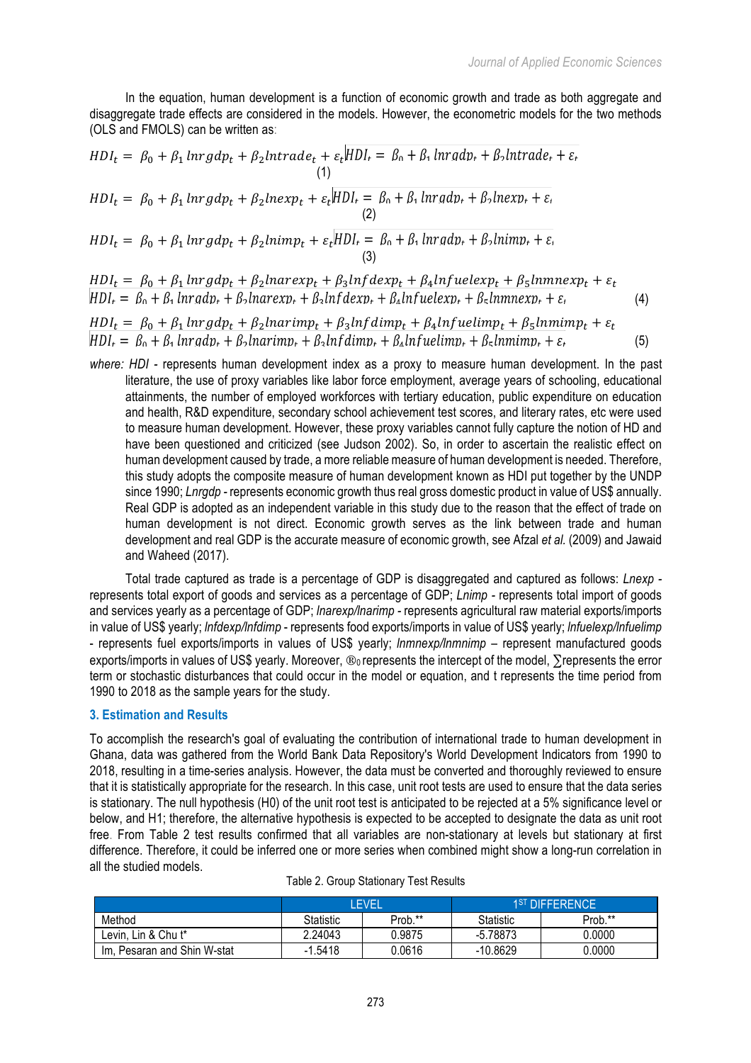(4)

In the equation, human development is a function of economic growth and trade as both aggregate and disaggregate trade effects are considered in the models. However, the econometric models for the two methods (OLS and FMOLS) can be written as:

$$
HDI_t = \beta_0 + \beta_1 \, lnrgdp_t + \beta_2 \, lntrade_t + \varepsilon_t \, HDI_t = \beta_0 + \beta_1 \, lnrgdp_t + \beta_2 \, lntrade_t + \varepsilon_t \tag{1}
$$

$$
HDI_t = \beta_0 + \beta_1 \, lnrgdp_t + \beta_2 \, lnexp_t + \varepsilon_t \mid HDI_t = \beta_0 + \beta_1 \, lnrqdp_t + \beta_2 \, lnexp_t + \varepsilon_t
$$
\n
$$
\tag{2}
$$

$$
HDI_t = \beta_0 + \beta_1 \, lnrgdp_t + \beta_2 \, lnimp_t + \varepsilon_t \, HDI_t = \beta_0 + \beta_1 \, lnrqdp_t + \beta_2 \, lnimp_t + \varepsilon_t \, (3)
$$

 $HDI_t = \beta_0 + \beta_1$ lnrgd $p_t + \beta_2$ lnarex $p_t + \beta_3$ lnfdex $p_t + \beta_4$ lnfuelex $p_t + \beta_5$ lnmnex $p_t + \varepsilon_t$  $HDI_t = \beta_0 + \beta_1 lnradp_t + \beta_2 lnarexp_t + \beta_2 lnfdexp_t + \beta_4 lnfuelexp_t + \beta_5 lnmnexp_t + \varepsilon_1$ 

$$
HDI_t = \beta_0 + \beta_1 \ln r g dp_t + \beta_2 \ln arimp_t + \beta_3 \ln f dim p_t + \beta_4 \ln f u elim_t + \beta_5 \ln mimp_t + \varepsilon_t
$$
  
\n
$$
HDI_t = \beta_0 + \beta_1 \ln r g dp_t + \beta_2 \ln arimp_t + \beta_3 \ln f dim p_t + \beta_4 \ln f u elim_t + \beta_5 \ln mimp_t + \varepsilon_t
$$
\n(5)

*where: HDI -* represents human development index as a proxy to measure human development. In the past literature, the use of proxy variables like labor force employment, average years of schooling, educational attainments, the number of employed workforces with tertiary education, public expenditure on education and health, R&D expenditure, secondary school achievement test scores, and literary rates, etc were used to measure human development. However, these proxy variables cannot fully capture the notion of HD and have been questioned and criticized (see Judson 2002). So, in order to ascertain the realistic effect on human development caused by trade, a more reliable measure of human development is needed. Therefore, this study adopts the composite measure of human development known as HDI put together by the UNDP since 1990; *Lnrgdp -* represents economic growth thus real gross domestic product in value of US\$ annually. Real GDP is adopted as an independent variable in this study due to the reason that the effect of trade on human development is not direct. Economic growth serves as the link between trade and human development and real GDP is the accurate measure of economic growth, see Afzal *et al.* (2009) and Jawaid and Waheed (2017).

Total trade captured as trade is a percentage of GDP is disaggregated and captured as follows: *Lnexp*  represents total export of goods and services as a percentage of GDP; *Lnimp -* represents total import of goods and services yearly as a percentage of GDP; *lnarexp/lnarimp -* represents agricultural raw material exports/imports in value of US\$ yearly; *lnfdexp/lnfdimp* - represents food exports/imports in value of US\$ yearly; *lnfuelexp/lnfuelimp* - represents fuel exports/imports in values of US\$ yearly; *lnmnexp/lnmnimp –* represent manufactured goods exports/imports in values of US\$ yearly. Moreover, ®<sub>0</sub> represents the intercept of the model, ∑represents the error term or stochastic disturbances that could occur in the model or equation, and t represents the time period from 1990 to 2018 as the sample years for the study.

## **3. Estimation and Results**

To accomplish the research's goal of evaluating the contribution of international trade to human development in Ghana, data was gathered from the World Bank Data Repository's World Development Indicators from 1990 to 2018, resulting in a time-series analysis. However, the data must be converted and thoroughly reviewed to ensure that it is statistically appropriate for the research. In this case, unit root tests are used to ensure that the data series is stationary. The null hypothesis (H0) of the unit root test is anticipated to be rejected at a 5% significance level or below, and H1; therefore, the alternative hypothesis is expected to be accepted to designate the data as unit root free. From Table 2 test results confirmed that all variables are non-stationary at levels but stationary at first difference. Therefore, it could be inferred one or more series when combined might show a long-run correlation in all the studied models.

|                             |           | I EVEI  | <b>1ST DIFFERENCE!</b> |         |  |  |
|-----------------------------|-----------|---------|------------------------|---------|--|--|
| Method                      | Statistic | Prob.** | Statistic              | Prob.** |  |  |
| Levin, Lin & Chu t*         | 2.24043   | 0.9875  | $-5.78873$             | 0.0000  |  |  |
| Im, Pesaran and Shin W-stat | $-1.5418$ | 0.0616  | $-10.8629$             | 0.0000  |  |  |

|  |  |  | Table 2. Group Stationary Test Results |
|--|--|--|----------------------------------------|
|--|--|--|----------------------------------------|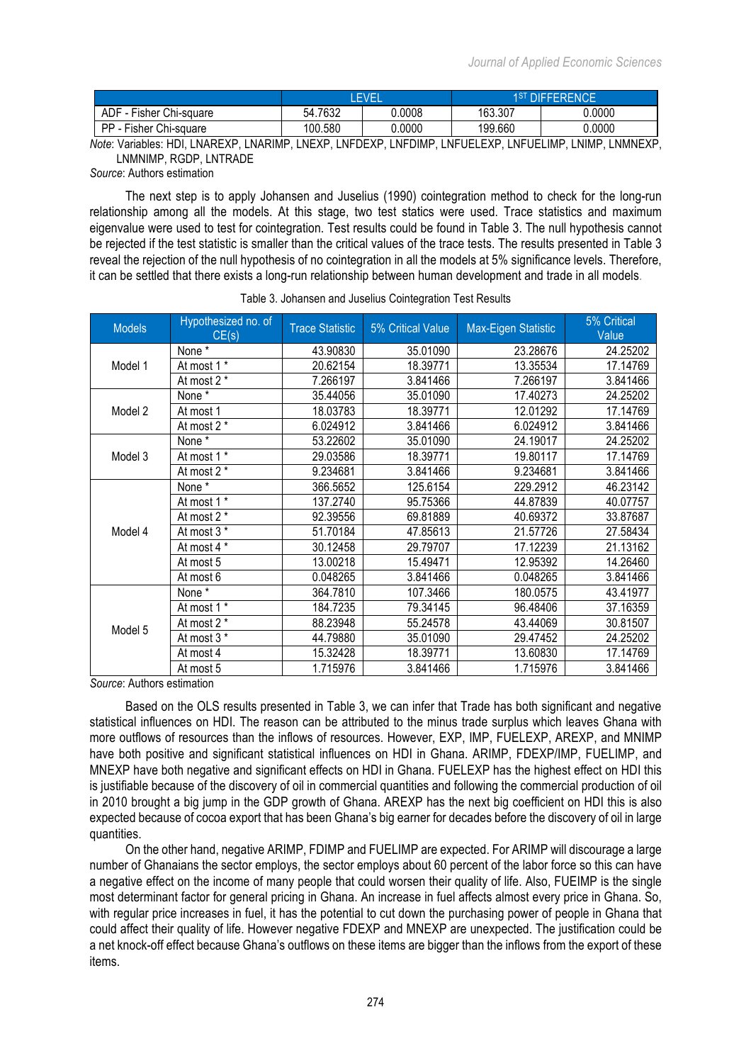|                                 |             | <b>FVF</b> | <b>DIFFERENCE</b> |        |  |  |
|---------------------------------|-------------|------------|-------------------|--------|--|--|
| ADF<br>Chi-square<br>Fisher     | .7632<br>54 | 0.0008     | 163.307           | 0.0000 |  |  |
| DP.<br>Chi-square<br>√ Fisher ∙ | 100.580     | 0.0000     | 199.660           | 0.0000 |  |  |

*Note*: Variables: HDI, LNAREXP, LNARIMP, LNEXP, LNFDEXP, LNFDIMP, LNFUELEXP, LNFUELIMP, LNIMP, LNMNEXP, LNMNIMP, RGDP, LNTRADE

*Source*: Authors estimation

The next step is to apply Johansen and Juselius (1990) cointegration method to check for the long-run relationship among all the models. At this stage, two test statics were used. Trace statistics and maximum eigenvalue were used to test for cointegration. Test results could be found in Table 3. The null hypothesis cannot be rejected if the test statistic is smaller than the critical values of the trace tests. The results presented in Table 3 reveal the rejection of the null hypothesis of no cointegration in all the models at 5% significance levels. Therefore, it can be settled that there exists a long-run relationship between human development and trade in all models.

| <b>Models</b> | Hypothesized no. of<br>CE(s) | <b>Trace Statistic</b> | 5% Critical Value | Max-Eigen Statistic | 5% Critical<br>Value |
|---------------|------------------------------|------------------------|-------------------|---------------------|----------------------|
|               | None *                       | 43.90830               | 35.01090          | 23.28676            | 24.25202             |
| Model 1       | At most 1 $\overline{X}$     | 20.62154               | 18.39771          | 13.35534            | 17.14769             |
|               | At most 2 *                  | 7.266197               | 3.841466          | 7.266197            | 3.841466             |
|               | None $\overline{X}$          | 35.44056               | 35.01090          | 17.40273            | 24.25202             |
| Model 2       | At most 1                    | 18.03783               | 18.39771          | 12.01292            | 17.14769             |
|               | At most 2 *                  | 6.024912               | 3.841466          | 6.024912            | 3.841466             |
|               | None *                       | 53.22602               | 35.01090          | 24.19017            | 24.25202             |
| Model 3       | At most $1^{\overline{x}}$   | 29.03586               | 18.39771          | 19.80117            | 17.14769             |
|               | At most 2 *                  | 9.234681               | 3.841466          | 9.234681            | 3.841466             |
|               | None *                       | 366.5652               | 125.6154          | 229.2912            | 46.23142             |
|               | At most 1 $\overline{+}$     | 137.2740               | 95.75366          | 44.87839            | 40.07757             |
|               | At most 2 *                  | 92.39556               | 69.81889          | 40.69372            | 33.87687             |
| Model 4       | At most 3 *                  | 51.70184               | 47.85613          | 21.57726            | 27.58434             |
|               | At most 4 *                  | 30.12458               | 29.79707          | 17.12239            | 21.13162             |
|               | At most 5                    | 13.00218               | 15.49471          | 12.95392            | 14.26460             |
|               | At most 6                    | 0.048265               | 3.841466          | 0.048265            | 3.841466             |
|               | None*                        | 364.7810               | 107.3466          | 180.0575            | 43.41977             |
|               | At most 1 *                  | 184.7235               | 79.34145          | 96.48406            | 37.16359             |
| Model 5       | At most 2 *                  | 88.23948               | 55.24578          | 43.44069            | 30.81507             |
|               | At most 3 *                  | 44.79880               | 35.01090          | 29.47452            | 24.25202             |
|               | At most 4                    | 15.32428               | 18.39771          | 13.60830            | 17.14769             |
|               | At most 5                    | 1.715976               | 3.841466          | 1.715976            | 3.841466             |

Table 3. Johansen and Juselius Cointegration Test Results

*Source*: Authors estimation

Based on the OLS results presented in Table 3, we can infer that Trade has both significant and negative statistical influences on HDI. The reason can be attributed to the minus trade surplus which leaves Ghana with more outflows of resources than the inflows of resources. However, EXP, IMP, FUELEXP, AREXP, and MNIMP have both positive and significant statistical influences on HDI in Ghana. ARIMP, FDEXP/IMP, FUELIMP, and MNEXP have both negative and significant effects on HDI in Ghana. FUELEXP has the highest effect on HDI this is justifiable because of the discovery of oil in commercial quantities and following the commercial production of oil in 2010 brought a big jump in the GDP growth of Ghana. AREXP has the next big coefficient on HDI this is also expected because of cocoa export that has been Ghana's big earner for decades before the discovery of oil in large quantities.

On the other hand, negative ARIMP, FDIMP and FUELIMP are expected. For ARIMP will discourage a large number of Ghanaians the sector employs, the sector employs about 60 percent of the labor force so this can have a negative effect on the income of many people that could worsen their quality of life. Also, FUEIMP is the single most determinant factor for general pricing in Ghana. An increase in fuel affects almost every price in Ghana. So, with regular price increases in fuel, it has the potential to cut down the purchasing power of people in Ghana that could affect their quality of life. However negative FDEXP and MNEXP are unexpected. The justification could be a net knock-off effect because Ghana's outflows on these items are bigger than the inflows from the export of these items.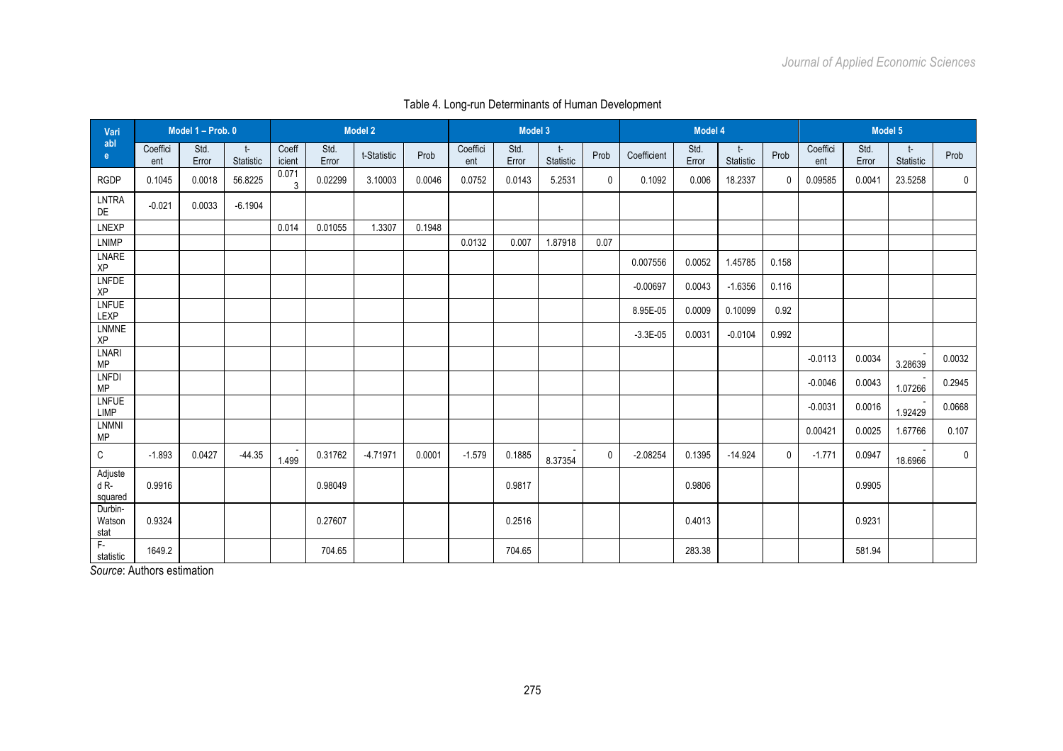| Vari                        |                 | Model 1 - Prob. 0 |                   |                 |               | Model 2     |        | Model 3         |               |                 | Model 4      |             |               | Model 5         |              |                 |               |                 |             |
|-----------------------------|-----------------|-------------------|-------------------|-----------------|---------------|-------------|--------|-----------------|---------------|-----------------|--------------|-------------|---------------|-----------------|--------------|-----------------|---------------|-----------------|-------------|
| abl<br>e.                   | Coeffici<br>ent | Std.<br>Error     | $t-$<br>Statistic | Coeff<br>icient | Std.<br>Error | t-Statistic | Prob   | Coeffici<br>ent | Std.<br>Error | t-<br>Statistic | Prob         | Coefficient | Std.<br>Error | t-<br>Statistic | Prob         | Coeffici<br>ent | Std.<br>Error | t-<br>Statistic | Prob        |
| <b>RGDP</b>                 | 0.1045          | 0.0018            | 56.8225           | 0.071<br>3      | 0.02299       | 3.10003     | 0.0046 | 0.0752          | 0.0143        | 5.2531          | $\mathbf{0}$ | 0.1092      | 0.006         | 18.2337         | $\mathbf{0}$ | 0.09585         | 0.0041        | 23.5258         | $\mathbf 0$ |
| LNTRA<br>DE                 | $-0.021$        | 0.0033            | $-6.1904$         |                 |               |             |        |                 |               |                 |              |             |               |                 |              |                 |               |                 |             |
| LNEXP                       |                 |                   |                   | 0.014           | 0.01055       | 1.3307      | 0.1948 |                 |               |                 |              |             |               |                 |              |                 |               |                 |             |
| LNIMP                       |                 |                   |                   |                 |               |             |        | 0.0132          | 0.007         | 1.87918         | 0.07         |             |               |                 |              |                 |               |                 |             |
| <b>LNARE</b><br>XP          |                 |                   |                   |                 |               |             |        |                 |               |                 |              | 0.007556    | 0.0052        | 1.45785         | 0.158        |                 |               |                 |             |
| <b>LNFDE</b><br>ΧP          |                 |                   |                   |                 |               |             |        |                 |               |                 |              | $-0.00697$  | 0.0043        | $-1.6356$       | 0.116        |                 |               |                 |             |
| <b>LNFUE</b><br><b>LEXP</b> |                 |                   |                   |                 |               |             |        |                 |               |                 |              | 8.95E-05    | 0.0009        | 0.10099         | 0.92         |                 |               |                 |             |
| <b>LNMNE</b><br>ΧP          |                 |                   |                   |                 |               |             |        |                 |               |                 |              | $-3.3E-05$  | 0.0031        | $-0.0104$       | 0.992        |                 |               |                 |             |
| LNARI<br>MP                 |                 |                   |                   |                 |               |             |        |                 |               |                 |              |             |               |                 |              | $-0.0113$       | 0.0034        | 3.28639         | 0.0032      |
| <b>LNFDI</b><br>MP          |                 |                   |                   |                 |               |             |        |                 |               |                 |              |             |               |                 |              | $-0.0046$       | 0.0043        | 1.07266         | 0.2945      |
| <b>LNFUE</b><br>LIMP        |                 |                   |                   |                 |               |             |        |                 |               |                 |              |             |               |                 |              | $-0.0031$       | 0.0016        | 1.92429         | 0.0668      |
| <b>LNMNI</b><br>MP          |                 |                   |                   |                 |               |             |        |                 |               |                 |              |             |               |                 |              | 0.00421         | 0.0025        | 1.67766         | 0.107       |
| C                           | $-1.893$        | 0.0427            | $-44.35$          | 1.499           | 0.31762       | $-4.71971$  | 0.0001 | $-1.579$        | 0.1885        | 8.37354         | $\mathbf{0}$ | $-2.08254$  | 0.1395        | $-14.924$       | $\mathbf{0}$ | $-1.771$        | 0.0947        | 18.6966         | $\mathbf 0$ |
| Adjuste<br>$dR-$<br>squared | 0.9916          |                   |                   |                 | 0.98049       |             |        |                 | 0.9817        |                 |              |             | 0.9806        |                 |              |                 | 0.9905        |                 |             |
| Durbin-<br>Watson<br>stat   | 0.9324          |                   |                   |                 | 0.27607       |             |        |                 | 0.2516        |                 |              |             | 0.4013        |                 |              |                 | 0.9231        |                 |             |
| F-<br>statistic             | 1649.2          |                   |                   |                 | 704.65        |             |        |                 | 704.65        |                 |              |             | 283.38        |                 |              |                 | 581.94        |                 |             |

# Table 4. Long-run Determinants of Human Development

*Source*: Authors estimation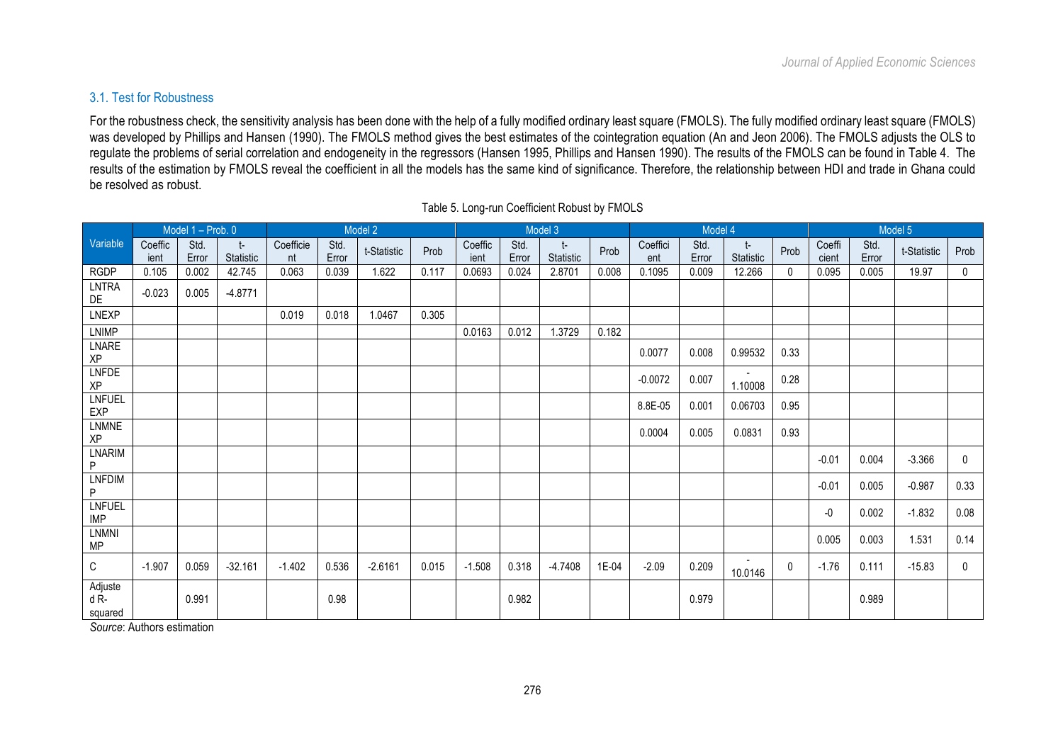## 3.1. Test for Robustness

For the robustness check, the sensitivity analysis has been done with the help of a fully modified ordinary least square (FMOLS). The fully modified ordinary least square (FMOLS) was developed by Phillips and Hansen (1990). The FMOLS method gives the best estimates of the cointegration equation (An and Jeon 2006). The FMOLS adjusts the OLS to regulate the problems of serial correlation and endogeneity in the regressors (Hansen 1995, Phillips and Hansen 1990). The results of the FMOLS can be found in Table 4. The results of the estimation by FMOLS reveal the coefficient in all the models has the same kind of significance. Therefore, the relationship between HDI and trade in Ghana could be resolved as robust.

|                             |                 | Model 1 - Prob. 0 |                 |                 |               | Model 2     |       | Model 3         |               |                 | Model 4 |                 |               | Model 5           |              |                 |               |             |              |
|-----------------------------|-----------------|-------------------|-----------------|-----------------|---------------|-------------|-------|-----------------|---------------|-----------------|---------|-----------------|---------------|-------------------|--------------|-----------------|---------------|-------------|--------------|
| Variable                    | Coeffic<br>ient | Std.<br>Error     | t-<br>Statistic | Coefficie<br>nt | Std.<br>Error | t-Statistic | Prob  | Coeffic<br>ient | Std.<br>Error | t-<br>Statistic | Prob    | Coeffici<br>ent | Std.<br>Error | t-<br>Statistic   | Prob         | Coeffi<br>cient | Std.<br>Error | t-Statistic | Prob         |
| <b>RGDP</b>                 | 0.105           | 0.002             | 42.745          | 0.063           | 0.039         | 1.622       | 0.117 | 0.0693          | 0.024         | 2.8701          | 0.008   | 0.1095          | 0.009         | 12.266            | $\mathbf{0}$ | 0.095           | 0.005         | 19.97       | $\mathbf 0$  |
| LNTRA<br>DE                 | $-0.023$        | 0.005             | $-4.8771$       |                 |               |             |       |                 |               |                 |         |                 |               |                   |              |                 |               |             |              |
| LNEXP                       |                 |                   |                 | 0.019           | 0.018         | 1.0467      | 0.305 |                 |               |                 |         |                 |               |                   |              |                 |               |             |              |
| LNIMP                       |                 |                   |                 |                 |               |             |       | 0.0163          | 0.012         | 1.3729          | 0.182   |                 |               |                   |              |                 |               |             |              |
| LNARE<br>XP                 |                 |                   |                 |                 |               |             |       |                 |               |                 |         | 0.0077          | 0.008         | 0.99532           | 0.33         |                 |               |             |              |
| <b>LNFDE</b><br>ΧP          |                 |                   |                 |                 |               |             |       |                 |               |                 |         | $-0.0072$       | 0.007         | 1.10008           | 0.28         |                 |               |             |              |
| LNFUEL<br>EXP               |                 |                   |                 |                 |               |             |       |                 |               |                 |         | 8.8E-05         | 0.001         | 0.06703           | 0.95         |                 |               |             |              |
| LNMNE<br>XP                 |                 |                   |                 |                 |               |             |       |                 |               |                 |         | 0.0004          | 0.005         | 0.0831            | 0.93         |                 |               |             |              |
| LNARIM<br>P                 |                 |                   |                 |                 |               |             |       |                 |               |                 |         |                 |               |                   |              | $-0.01$         | 0.004         | $-3.366$    | 0            |
| LNFDIM<br>P                 |                 |                   |                 |                 |               |             |       |                 |               |                 |         |                 |               |                   |              | $-0.01$         | 0.005         | $-0.987$    | 0.33         |
| <b>LNFUEL</b><br><b>IMP</b> |                 |                   |                 |                 |               |             |       |                 |               |                 |         |                 |               |                   |              | -0              | 0.002         | $-1.832$    | 0.08         |
| LNMNI<br>MP                 |                 |                   |                 |                 |               |             |       |                 |               |                 |         |                 |               |                   |              | 0.005           | 0.003         | 1.531       | 0.14         |
| C                           | $-1.907$        | 0.059             | $-32.161$       | $-1.402$        | 0.536         | $-2.6161$   | 0.015 | $-1.508$        | 0.318         | $-4.7408$       | 1E-04   | $-2.09$         | 0.209         | $\sim$<br>10.0146 | $\mathbf{0}$ | $-1.76$         | 0.111         | $-15.83$    | $\mathbf{0}$ |
| Adjuste<br>$dR-$<br>squared |                 | 0.991             |                 |                 | 0.98          |             |       |                 | 0.982         |                 |         |                 | 0.979         |                   |              |                 | 0.989         |             |              |

Table 5. Long-run Coefficient Robust by FMOLS

*Source*: Authors estimation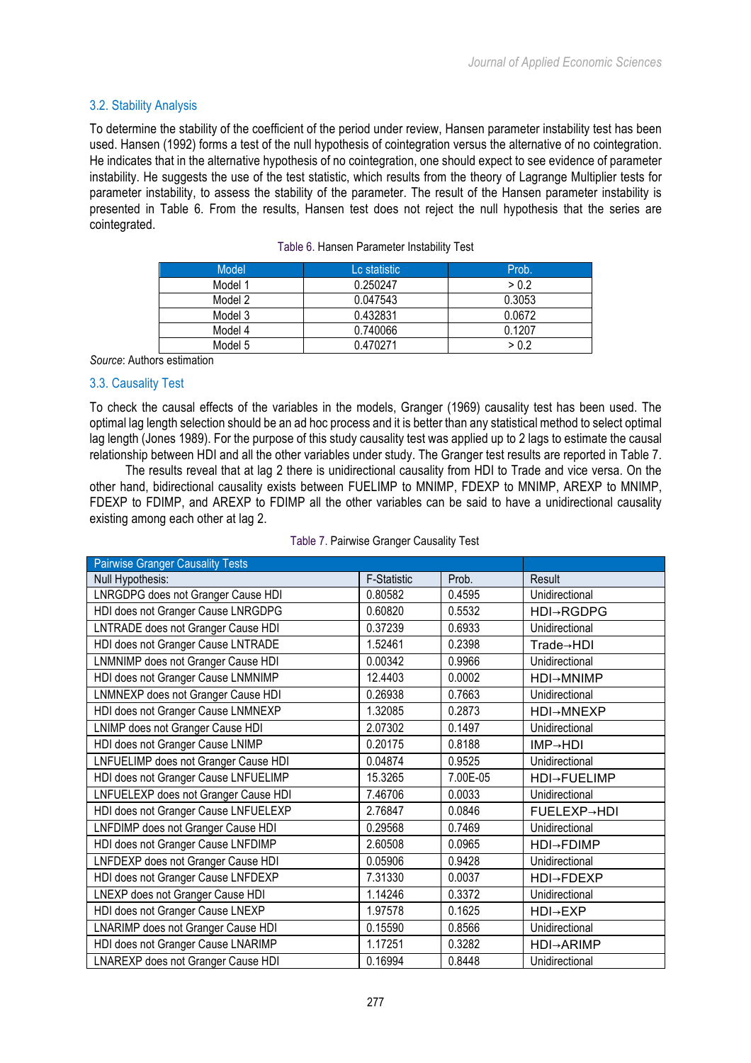## 3.2. Stability Analysis

To determine the stability of the coefficient of the period under review, Hansen parameter instability test has been used. Hansen (1992) forms a test of the null hypothesis of cointegration versus the alternative of no cointegration. He indicates that in the alternative hypothesis of no cointegration, one should expect to see evidence of parameter instability. He suggests the use of the test statistic, which results from the theory of Lagrange Multiplier tests for parameter instability, to assess the stability of the parameter. The result of the Hansen parameter instability is presented in Table 6. From the results, Hansen test does not reject the null hypothesis that the series are cointegrated.

| Model   | Lc statistic | Prob.  |
|---------|--------------|--------|
| Model 1 | 0.250247     | > 0.2  |
| Model 2 | 0.047543     | 0.3053 |
| Model 3 | 0.432831     | 0.0672 |
| Model 4 | 0.740066     | 0.1207 |
| Model 5 | 0.470271     | > 0.2  |

|  |  | Table 6. Hansen Parameter Instability Test |  |  |
|--|--|--------------------------------------------|--|--|
|--|--|--------------------------------------------|--|--|

*Source*: Authors estimation

## 3.3. Causality Test

To check the causal effects of the variables in the models, Granger (1969) causality test has been used. The optimal lag length selection should be an ad hoc process and it is better than any statistical method to select optimal lag length (Jones 1989). For the purpose of this study causality test was applied up to 2 lags to estimate the causal relationship between HDI and all the other variables under study. The Granger test results are reported in Table 7.

The results reveal that at lag 2 there is unidirectional causality from HDI to Trade and vice versa. On the other hand, bidirectional causality exists between FUELIMP to MNIMP, FDEXP to MNIMP, AREXP to MNIMP, FDEXP to FDIMP, and AREXP to FDIMP all the other variables can be said to have a unidirectional causality existing among each other at lag 2.

|  | Table 7. Pairwise Granger Causality Test |  |  |  |
|--|------------------------------------------|--|--|--|
|--|------------------------------------------|--|--|--|

| <b>Pairwise Granger Causality Tests</b> |                    |          |                       |
|-----------------------------------------|--------------------|----------|-----------------------|
| Null Hypothesis:                        | <b>F-Statistic</b> | Prob.    | Result                |
| LNRGDPG does not Granger Cause HDI      | 0.80582            | 0.4595   | Unidirectional        |
| HDI does not Granger Cause LNRGDPG      | 0.60820            | 0.5532   | HDI→RGDPG             |
| LNTRADE does not Granger Cause HDI      | 0.37239            | 0.6933   | Unidirectional        |
| HDI does not Granger Cause LNTRADE      | 1.52461            | 0.2398   | Trade→HDI             |
| LNMNIMP does not Granger Cause HDI      | 0.00342            | 0.9966   | Unidirectional        |
| HDI does not Granger Cause LNMNIMP      | 12.4403            | 0.0002   | <b>HDI→MNIMP</b>      |
| LNMNEXP does not Granger Cause HDI      | 0.26938            | 0.7663   | Unidirectional        |
| HDI does not Granger Cause LNMNEXP      | 1.32085            | 0.2873   | <b>HDI→MNEXP</b>      |
| LNIMP does not Granger Cause HDI        | 2.07302            | 0.1497   | Unidirectional        |
| HDI does not Granger Cause LNIMP        | 0.20175            | 0.8188   | $IMP \rightarrow HDI$ |
| LNFUELIMP does not Granger Cause HDI    | 0.04874            | 0.9525   | Unidirectional        |
| HDI does not Granger Cause LNFUELIMP    | 15.3265            | 7.00E-05 | <b>HDI→FUELIMP</b>    |
| LNFUELEXP does not Granger Cause HDI    | 7.46706            | 0.0033   | Unidirectional        |
| HDI does not Granger Cause LNFUELEXP    | 2.76847            | 0.0846   | <b>FUELEXP→HDI</b>    |
| LNFDIMP does not Granger Cause HDI      | 0.29568            | 0.7469   | Unidirectional        |
| HDI does not Granger Cause LNFDIMP      | 2.60508            | 0.0965   | <b>HDI→FDIMP</b>      |
| LNFDEXP does not Granger Cause HDI      | 0.05906            | 0.9428   | Unidirectional        |
| HDI does not Granger Cause LNFDEXP      | 7.31330            | 0.0037   | <b>HDI→FDEXP</b>      |
| LNEXP does not Granger Cause HDI        | 1.14246            | 0.3372   | Unidirectional        |
| HDI does not Granger Cause LNEXP        | 1.97578            | 0.1625   | <b>HDI→EXP</b>        |
| LNARIMP does not Granger Cause HDI      | 0.15590            | 0.8566   | Unidirectional        |
| HDI does not Granger Cause LNARIMP      | 1.17251            | 0.3282   | <b>HDI→ARIMP</b>      |
| LNAREXP does not Granger Cause HDI      | 0.16994            | 0.8448   | Unidirectional        |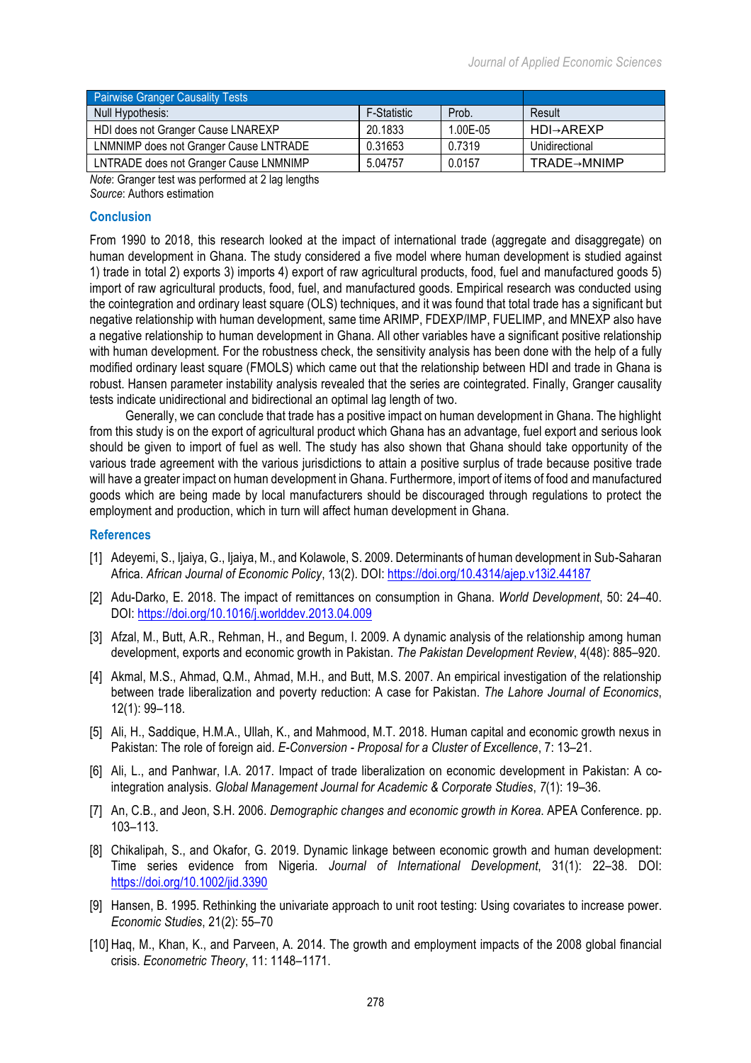| <b>Pairwise Granger Causality Tests</b> |                    |          |                        |
|-----------------------------------------|--------------------|----------|------------------------|
| Null Hypothesis:                        | <b>F-Statistic</b> | Prob.    | Result                 |
| HDI does not Granger Cause LNAREXP      | 20.1833            | 1.00E-05 | $HD \rightarrow AREXP$ |
| LNMNIMP does not Granger Cause LNTRADE  | 0.31653            | 0.7319   | Unidirectional         |
| LNTRADE does not Granger Cause LNMNIMP  | 5.04757            | 0.0157   | TRADE→MNIMP            |

*Note*: Granger test was performed at 2 lag lengths

*Source*: Authors estimation

## **Conclusion**

From 1990 to 2018, this research looked at the impact of international trade (aggregate and disaggregate) on human development in Ghana. The study considered a five model where human development is studied against 1) trade in total 2) exports 3) imports 4) export of raw agricultural products, food, fuel and manufactured goods 5) import of raw agricultural products, food, fuel, and manufactured goods. Empirical research was conducted using the cointegration and ordinary least square (OLS) techniques, and it was found that total trade has a significant but negative relationship with human development, same time ARIMP, FDEXP/IMP, FUELIMP, and MNEXP also have a negative relationship to human development in Ghana. All other variables have a significant positive relationship with human development. For the robustness check, the sensitivity analysis has been done with the help of a fully modified ordinary least square (FMOLS) which came out that the relationship between HDI and trade in Ghana is robust. Hansen parameter instability analysis revealed that the series are cointegrated. Finally, Granger causality tests indicate unidirectional and bidirectional an optimal lag length of two.

Generally, we can conclude that trade has a positive impact on human development in Ghana. The highlight from this study is on the export of agricultural product which Ghana has an advantage, fuel export and serious look should be given to import of fuel as well. The study has also shown that Ghana should take opportunity of the various trade agreement with the various jurisdictions to attain a positive surplus of trade because positive trade will have a greater impact on human development in Ghana. Furthermore, import of items of food and manufactured goods which are being made by local manufacturers should be discouraged through regulations to protect the employment and production, which in turn will affect human development in Ghana.

#### **References**

- [1] Adeyemi, S., Ijaiya, G., Ijaiya, M., and Kolawole, S. 2009. Determinants of human development in Sub-Saharan Africa. *African Journal of Economic Policy*, 13(2). DOI: https://doi.org/10.4314/ajep.v13i2.44187
- [2] Adu-Darko, E. 2018. The impact of remittances on consumption in Ghana. *World Development*, 50: 24–40. DOI: https://doi.org/10.1016/j.worlddev.2013.04.009
- [3] Afzal, M., Butt, A.R., Rehman, H., and Begum, I. 2009. A dynamic analysis of the relationship among human development, exports and economic growth in Pakistan. *The Pakistan Development Review*, 4(48): 885–920.
- [4] Akmal, M.S., Ahmad, Q.M., Ahmad, M.H., and Butt, M.S. 2007. An empirical investigation of the relationship between trade liberalization and poverty reduction: A case for Pakistan. *The Lahore Journal of Economics*, 12(1): 99–118.
- [5] Ali, H., Saddique, H.M.A., Ullah, K., and Mahmood, M.T. 2018. Human capital and economic growth nexus in Pakistan: The role of foreign aid*. E-Conversion - Proposal for a Cluster of Excellence*, 7: 13–21.
- [6] Ali, L., and Panhwar, I.A. 2017. Impact of trade liberalization on economic development in Pakistan: A cointegration analysis. *Global Management Journal for Academic & Corporate Studies*, *7*(1): 19–36.
- [7] An, C.B., and Jeon, S.H. 2006. *Demographic changes and economic growth in Korea*. APEA Conference. pp. 103–113.
- [8] Chikalipah, S., and Okafor, G. 2019. Dynamic linkage between economic growth and human development: Time series evidence from Nigeria. *Journal of International Development*, 31(1): 22–38. DOI: https://doi.org/10.1002/jid.3390
- [9] Hansen, B. 1995. Rethinking the univariate approach to unit root testing: Using covariates to increase power. *Economic Studies*, 21(2): 55–70
- [10] Haq, M., Khan, K., and Parveen, A. 2014. The growth and employment impacts of the 2008 global financial crisis. *Econometric Theory*, 11: 1148–1171.